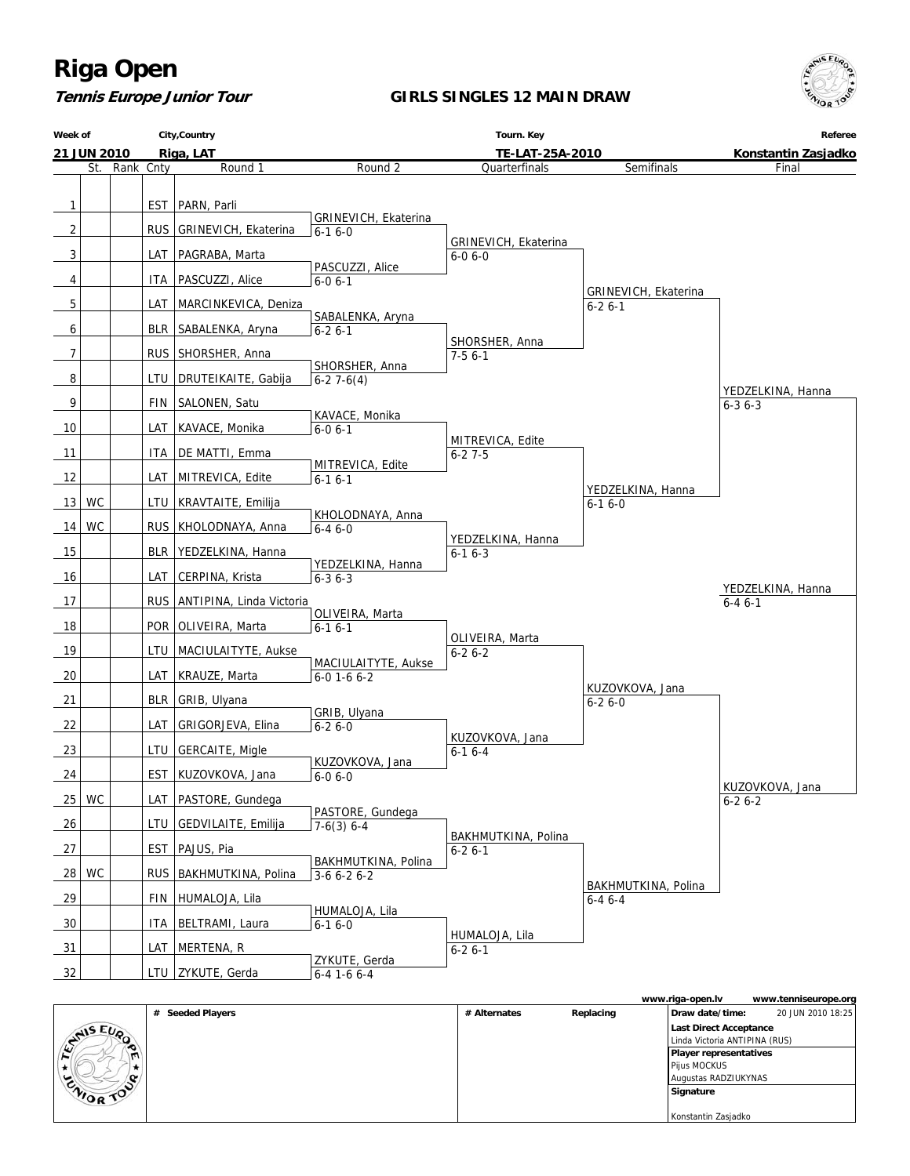#### **Tennis Europe Junior Tour**

#### **GIRLS SINGLES 12 MAIN DRAW**



|                   |                  |              |           | www.riga-open.iv              | www.tenniseurope.org |
|-------------------|------------------|--------------|-----------|-------------------------------|----------------------|
|                   | # Seeded Players | # Alternates | Replacing | Draw date/time:               | 20 JUN 2010 18:25    |
| <b>STAIS EUP</b>  |                  |              |           | Last Direct Acceptance        |                      |
| ∙                 |                  |              |           | Linda Victoria ANTIPINA (RUS) |                      |
| $\mathbf{m}$<br>- |                  |              |           | <b>Player representatives</b> |                      |
|                   |                  |              |           | Pijus MOCKUS                  |                      |
| ٮ<br>œ            |                  |              |           | Augustas RADZIUKYNAS          |                      |
| <b>CAIOR TON</b>  |                  |              |           | Signature                     |                      |
|                   |                  |              |           |                               |                      |
|                   |                  |              |           | Konstantin Zasjadko           |                      |

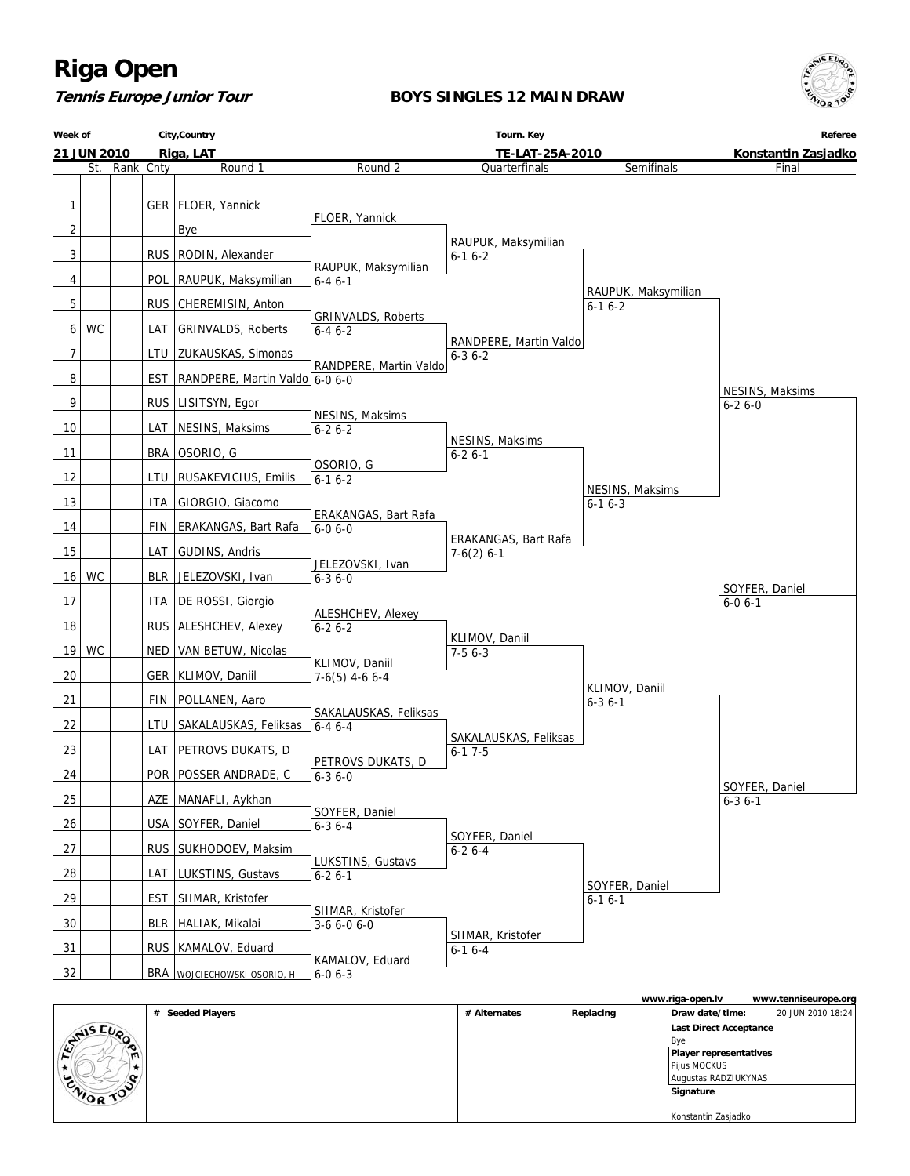## **Tennis Europe Junior Tour**

### **BOYS SINGLES 12 MAIN DRAW**



| Week of        |             |           | City, Country                        | Tourn. Key                          |                                       |                     | Referee             |
|----------------|-------------|-----------|--------------------------------------|-------------------------------------|---------------------------------------|---------------------|---------------------|
|                | 21 JUN 2010 |           | Riga, LAT                            |                                     | TE-LAT-25A-2010                       |                     | Konstantin Zasjadko |
|                | St.         | Rank Cnty | Round 1                              | Round 2                             | Quarterfinals                         | Semifinals          | Final               |
|                |             |           |                                      |                                     |                                       |                     |                     |
| $\mathbf{1}$   |             |           | GER   FLOER, Yannick                 |                                     |                                       |                     |                     |
|                |             |           |                                      | FLOER, Yannick                      |                                       |                     |                     |
| $\overline{2}$ |             |           | <b>Bye</b>                           |                                     | RAUPUK, Maksymilian                   |                     |                     |
| 3              |             |           | RUS   RODIN, Alexander               |                                     | $6-16-2$                              |                     |                     |
| 4              |             |           | POL RAUPUK, Maksymilian              | RAUPUK, Maksymilian<br>$6 - 46 - 1$ |                                       |                     |                     |
|                |             |           |                                      |                                     |                                       | RAUPUK, Maksymilian |                     |
| 5              |             |           | RUS CHEREMISIN, Anton                | <b>GRINVALDS, Roberts</b>           |                                       | $6-16-2$            |                     |
| 6              | WC          |           | LAT GRINVALDS, Roberts               | $6 - 46 - 2$                        |                                       |                     |                     |
| 7              |             |           | LTU   ZUKAUSKAS, Simonas             |                                     | RANDPERE, Martin Valdo                |                     |                     |
|                |             |           |                                      | RANDPERE, Martin Valdo              | $6 - 36 - 2$                          |                     |                     |
| 8              |             |           | EST   RANDPERE, Martin Valdo 6-0 6-0 |                                     |                                       |                     | NESINS, Maksims     |
| 9              |             |           | RUS LISITSYN, Egor                   |                                     |                                       |                     | $6 - 26 - 0$        |
| 10             |             |           | LAT   NESINS, Maksims                | NESINS, Maksims                     |                                       |                     |                     |
|                |             |           |                                      | $6 - 26 - 2$                        | NESINS, Maksims                       |                     |                     |
| 11             |             |           | BRA   OSORIO, G                      |                                     | $6 - 26 - 1$                          |                     |                     |
| 12             |             |           | LTU   RUSAKEVICIUS, Emilis           | OSORIO, G<br>$6-16-2$               |                                       |                     |                     |
|                |             |           |                                      |                                     |                                       | NESINS, Maksims     |                     |
| 13             |             |           | ITA GIORGIO, Giacomo                 | ERAKANGAS, Bart Rafa                |                                       | $6-16-3$            |                     |
| 14             |             |           | FIN   ERAKANGAS, Bart Rafa           | $6 - 06 - 0$                        |                                       |                     |                     |
| 15             |             |           | LAT GUDINS, Andris                   |                                     | ERAKANGAS, Bart Rafa<br>$7-6(2)$ 6-1  |                     |                     |
|                |             |           |                                      | JELEZOVSKI, Ivan                    |                                       |                     |                     |
| 16             | WC          |           | BLR   JELEZOVSKI, Ivan               | $6 - 36 - 0$                        |                                       |                     | SOYFER, Daniel      |
| 17             |             |           | ITA   DE ROSSI, Giorgio              |                                     |                                       |                     | $6 - 06 - 1$        |
| 18             |             |           | RUS   ALESHCHEV, Alexey              | ALESHCHEV, Alexey<br>$6 - 26 - 2$   |                                       |                     |                     |
|                |             |           |                                      |                                     | KLIMOV, Daniil                        |                     |                     |
| 19             | WC          |           | NED   VAN BETUW, Nicolas             | KLIMOV, Daniil                      | $7-56-3$                              |                     |                     |
| 20             |             |           | GER   KLIMOV, Daniil                 | $7-6(5)$ 4-6 6-4                    |                                       |                     |                     |
|                |             |           |                                      |                                     |                                       | KLIMOV, Daniil      |                     |
| 21             |             |           | FIN   POLLANEN, Aaro                 | SAKALAUSKAS, Feliksas               |                                       | $6 - 36 - 1$        |                     |
| 22             |             |           | LTU SAKALAUSKAS, Feliksas 6-4 6-4    |                                     |                                       |                     |                     |
| 23             |             |           | LAT   PETROVS DUKATS, D              |                                     | SAKALAUSKAS, Feliksas<br>$6 - 17 - 5$ |                     |                     |
|                |             |           |                                      | PETROVS DUKATS, D                   |                                       |                     |                     |
| 24             |             |           | POR   POSSER ANDRADE, C              | $6 - 36 - 0$                        |                                       |                     | SOYFER, Daniel      |
| 25             |             |           | AZE   MANAFLI, Aykhan                |                                     |                                       |                     | $6 - 36 - 1$        |
| 26             |             |           | USA SOYFER, Daniel                   | SOYFER, Daniel<br>$6 - 36 - 4$      |                                       |                     |                     |
|                |             |           |                                      |                                     | SOYFER, Daniel                        |                     |                     |
| 27             |             |           | RUS   SUKHODOEV, Maksim              | LUKSTINS, Gustavs                   | $6 - 26 - 4$                          |                     |                     |
| 28             |             |           | LAT   LUKSTINS, Gustavs              | $6 - 26 - 1$                        |                                       |                     |                     |
| 29             |             |           | EST   SIIMAR, Kristofer              |                                     |                                       | SOYFER, Daniel      |                     |
|                |             |           |                                      | SIIMAR, Kristofer                   |                                       | $6-16-1$            |                     |
| 30             |             |           | BLR   HALIAK, Mikalai                | $3-66-06-0$                         | SIIMAR, Kristofer                     |                     |                     |
| 31             |             |           | RUS   KAMALOV, Eduard                |                                     | $6-16-4$                              |                     |                     |
|                |             |           |                                      | KAMALOV, Eduard                     |                                       |                     |                     |
| 32             |             |           | <b>BRA</b> WOJCIECHOWSKI OSORIO, H   | $6 - 06 - 3$                        |                                       |                     |                     |

|               |                  |              |           | www.riga-open.lv              | www.tenniseurope.org |
|---------------|------------------|--------------|-----------|-------------------------------|----------------------|
|               | # Seeded Players | # Alternates | Replacing | Draw date/time:               | 20 JUN 2010 18:24    |
| ANIS EUR      |                  |              |           | Last Direct Acceptance        |                      |
|               |                  |              |           | Bye                           |                      |
|               |                  |              |           | <b>Player representatives</b> |                      |
|               |                  |              |           | Pijus MOCKUS                  |                      |
| $\sim$<br>ર્ે |                  |              |           | Augustas RADZIUKYNAS          |                      |
| <b>MORTO</b>  |                  |              |           | Signature                     |                      |
|               |                  |              |           |                               |                      |
|               |                  |              |           | Konstantin Zasjadko           |                      |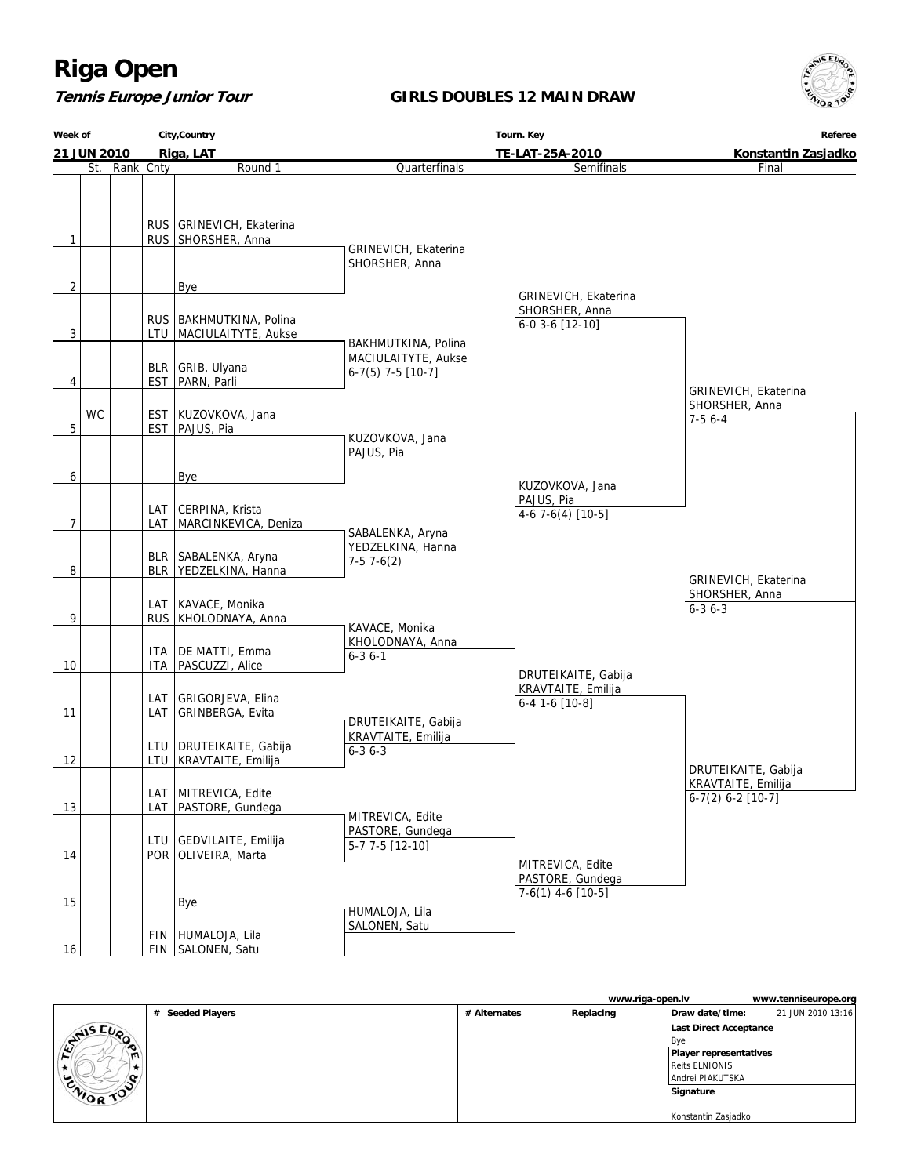## **Tennis Europe Junior Tour**

### **GIRLS DOUBLES 12 MAIN DRAW**



|                | City, Country<br>Week of |               |     |                                                        | Referee                                                 |                                                               |                                                        |
|----------------|--------------------------|---------------|-----|--------------------------------------------------------|---------------------------------------------------------|---------------------------------------------------------------|--------------------------------------------------------|
|                | Riga, LAT<br>21 JUN 2010 |               |     |                                                        | TE-LAT-25A-2010                                         | Konstantin Zasjadko                                           |                                                        |
|                |                          | St. Rank Cnty |     | Round 1                                                | Quarterfinals                                           | Semifinals                                                    | Final                                                  |
| 1              |                          |               |     | RUS   GRINEVICH, Ekaterina<br>RUS SHORSHER, Anna       | GRINEVICH, Ekaterina<br>SHORSHER, Anna                  |                                                               |                                                        |
| $\overline{2}$ |                          |               |     | <b>Bye</b>                                             |                                                         | GRINEVICH, Ekaterina                                          |                                                        |
| 3              |                          |               |     | RUS   BAKHMUTKINA, Polina<br>LTU   MACIULAITYTE, Aukse | BAKHMUTKINA, Polina                                     | SHORSHER, Anna<br>6-0 3-6 [12-10]                             |                                                        |
|                |                          |               |     | BLR   GRIB, Ulyana                                     | MACIULAITYTE, Aukse<br>$6-7(5)$ 7-5 [10-7]              |                                                               |                                                        |
| 4              | <b>WC</b>                |               |     | EST   PARN, Parli<br>EST   KUZOVKOVA, Jana             |                                                         |                                                               | GRINEVICH, Ekaterina<br>SHORSHER, Anna                 |
| 5              |                          |               |     | EST   PAJUS, Pia                                       | KUZOVKOVA, Jana<br>PAJUS, Pia                           |                                                               | $7-56-4$                                               |
| 6              |                          |               |     | Bye                                                    |                                                         |                                                               |                                                        |
| 7              |                          |               |     | LAT   CERPINA, Krista<br>LAT MARCINKEVICA, Deniza      |                                                         | KUZOVKOVA, Jana<br>PAJUS, Pia<br>$4-67-6(4)$ [10-5]           |                                                        |
| 8              |                          |               |     | BLR   SABALENKA, Aryna<br>BLR YEDZELKINA, Hanna        | SABALENKA, Aryna<br>YEDZELKINA, Hanna<br>$7-57-6(2)$    |                                                               |                                                        |
| 9              |                          |               |     | LAT   KAVACE, Monika<br>RUS   KHOLODNAYA, Anna         |                                                         |                                                               | GRINEVICH, Ekaterina<br>SHORSHER, Anna<br>$6 - 36 - 3$ |
| 10             |                          |               |     | ITA   DE MATTI, Emma<br>ITA   PASCUZZI, Alice          | KAVACE, Monika<br>KHOLODNAYA, Anna<br>$6 - 3 6 - 1$     |                                                               |                                                        |
| 11             |                          |               |     | LAT   GRIGORJEVA, Elina<br>LAT GRINBERGA, Evita        | DRUTEIKAITE, Gabija                                     | DRUTEIKAITE, Gabija<br>KRAVTAITE, Emilija<br>$6-4$ 1-6 [10-8] |                                                        |
| 12             |                          |               |     | LTU   DRUTEIKAITE, Gabija<br>LTU   KRAVTAITE, Emilija  | KRAVTAITE, Emilija<br>$6 - 36 - 3$                      |                                                               | DRUTEIKAITE, Gabija                                    |
| 13             |                          |               | LAT | LAT   MITREVICA, Edite<br>PASTORE, Gundega             |                                                         |                                                               | KRAVTAITE, Emilija<br>$6-7(2) 6-2 [10-7]$              |
| 14             |                          |               |     | LTU GEDVILAITE, Emilija<br>POR OLIVEIRA, Marta         | MITREVICA, Edite<br>PASTORE, Gundega<br>5-7 7-5 [12-10] |                                                               |                                                        |
| 15             |                          |               |     | Bye                                                    |                                                         | MITREVICA, Edite<br>PASTORE, Gundega<br>$7-6(1)$ 4-6 [10-5]   |                                                        |
| 16             |                          |               |     | FIN HUMALOJA, Lila<br>FIN SALONEN, Satu                | HUMALOJA, Lila<br>SALONEN, Satu                         |                                                               |                                                        |

|                  |                  |              | www.riga-open.lv |                               | www.tenniseurope.org |
|------------------|------------------|--------------|------------------|-------------------------------|----------------------|
|                  | # Seeded Players | # Alternates | Replacing        | Draw date/time:               | 21 JUN 2010 13:16    |
| <b>ANIS EUP</b>  |                  |              |                  | Last Direct Acceptance        |                      |
|                  |                  |              |                  | l Bve                         |                      |
| $\mathbf{m}$     |                  |              |                  | <b>Player representatives</b> |                      |
|                  |                  |              |                  | <b>Reits ELNIONIS</b>         |                      |
|                  |                  |              |                  | Andrei PIAKUTSKA              |                      |
| <b>ENIOR TOP</b> |                  |              |                  | Signature                     |                      |
|                  |                  |              |                  |                               |                      |
|                  |                  |              |                  | Konstantin Zasjadko           |                      |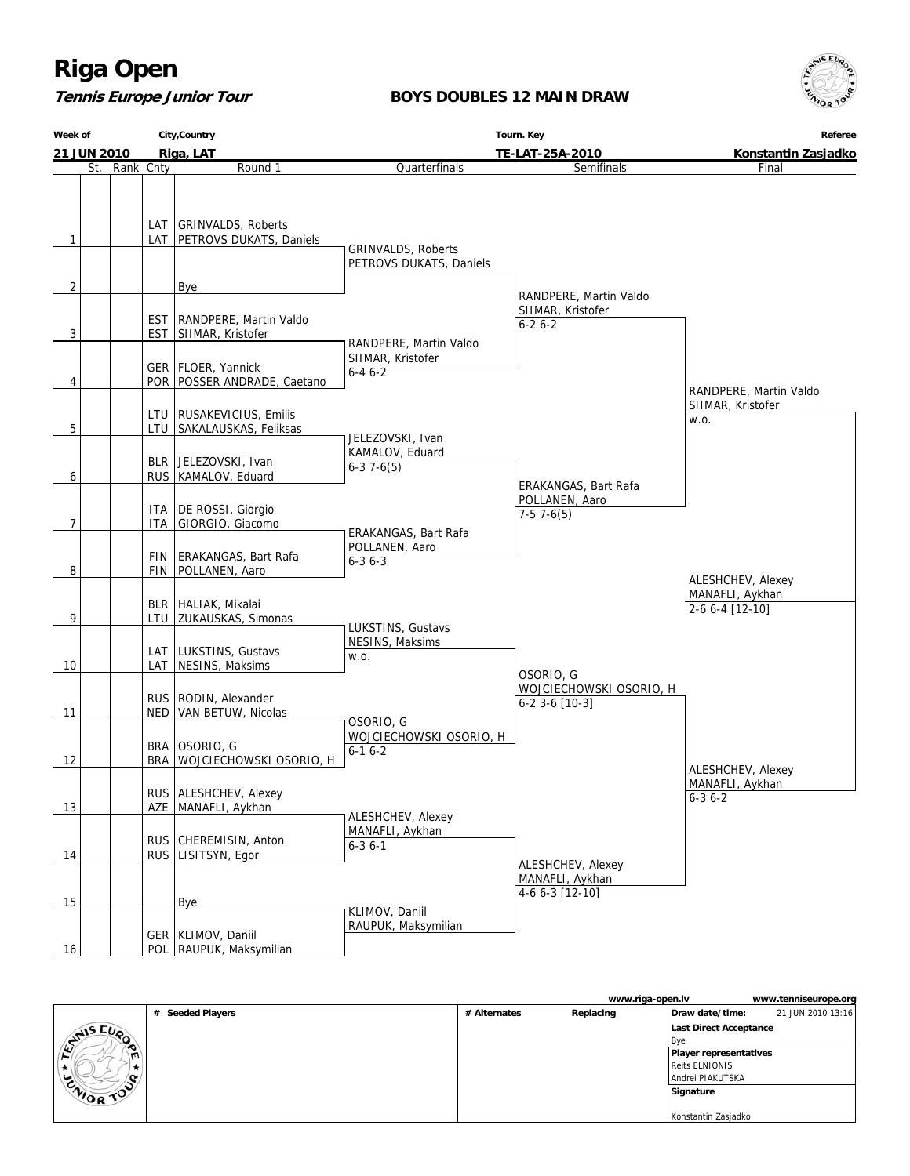## **Tennis Europe Junior Tour**

### **BOYS DOUBLES 12 MAIN DRAW**



| Week of |             | City, Country |       | Tourn. Key                                                | Referee                                              |                                                             |                                                         |  |
|---------|-------------|---------------|-------|-----------------------------------------------------------|------------------------------------------------------|-------------------------------------------------------------|---------------------------------------------------------|--|
|         | 21 JUN 2010 |               |       | Riga, LAT                                                 |                                                      | TE-LAT-25A-2010                                             | Konstantin Zasjadko                                     |  |
|         | St.         | Rank Cnty     |       | Round 1                                                   | Quarterfinals                                        | Semifinals                                                  | Final                                                   |  |
| 1       |             |               |       | LAT   GRINVALDS, Roberts<br>LAT   PETROVS DUKATS, Daniels | <b>GRINVALDS, Roberts</b>                            |                                                             |                                                         |  |
|         |             |               |       |                                                           | PETROVS DUKATS, Daniels                              |                                                             |                                                         |  |
| 2       |             |               |       | Bye                                                       |                                                      |                                                             |                                                         |  |
|         |             |               |       | EST   RANDPERE, Martin Valdo                              |                                                      | RANDPERE, Martin Valdo<br>SIIMAR, Kristofer<br>$6 - 26 - 2$ |                                                         |  |
| 3       |             |               |       | EST SIIMAR, Kristofer                                     | RANDPERE, Martin Valdo                               |                                                             |                                                         |  |
| 4       |             |               |       | GER   FLOER, Yannick<br>POR   POSSER ANDRADE, Caetano     | SIIMAR, Kristofer<br>$6 - 46 - 2$                    |                                                             | RANDPERE, Martin Valdo                                  |  |
|         |             |               |       |                                                           |                                                      |                                                             | SIIMAR, Kristofer                                       |  |
| 5       |             |               |       | LTU   RUSAKEVICIUS, Emilis<br>LTU SAKALAUSKAS, Feliksas   |                                                      |                                                             | W.O.                                                    |  |
| 6       |             |               |       | BLR JELEZOVSKI, Ivan<br>RUS   KAMALOV, Eduard             | JELEZOVSKI, Ivan<br>KAMALOV, Eduard<br>$6-37-6(5)$   |                                                             |                                                         |  |
|         |             |               | ITA   | DE ROSSI, Giorgio                                         |                                                      | ERAKANGAS, Bart Rafa<br>POLLANEN, Aaro<br>$7-57-6(5)$       |                                                         |  |
| 7       |             |               | ITA I | GIORGIO, Giacomo                                          | ERAKANGAS, Bart Rafa                                 |                                                             |                                                         |  |
| 8       |             |               | FIN   | ERAKANGAS, Bart Rafa<br>FIN   POLLANEN, Aaro              | POLLANEN, Aaro<br>$6 - 3$ $6 - 3$                    |                                                             |                                                         |  |
| 9       |             |               |       | BLR   HALIAK, Mikalai<br>LTU   ZUKAUSKAS, Simonas         |                                                      |                                                             | ALESHCHEV, Alexey<br>MANAFLI, Aykhan<br>2-6 6-4 [12-10] |  |
| 10      |             |               | LAT   | LAT   LUKSTINS, Gustavs<br>NESINS, Maksims                | LUKSTINS, Gustavs<br>NESINS, Maksims<br>W.O.         | OSORIO, G                                                   |                                                         |  |
| 11      |             |               |       | RUS   RODIN, Alexander<br>NED   VAN BETUW, Nicolas        | OSORIO, G                                            | WOJCIECHOWSKI OSORIO, H<br>$6-2$ 3-6 [10-3]                 |                                                         |  |
| 12      |             |               |       | BRA OSORIO, G<br>BRA WOJCIECHOWSKI OSORIO, H              | WOJCIECHOWSKI OSORIO, H<br>$6 - 16 - 2$              |                                                             | ALESHCHEV, Alexey                                       |  |
| 13      |             |               |       | RUS ALESHCHEV, Alexey<br>AZE   MANAFLI, Aykhan            |                                                      |                                                             | MANAFLI, Aykhan<br>$6 - 36 - 2$                         |  |
| 14      |             |               |       | RUS CHEREMISIN, Anton<br>RUS   LISITSYN, Egor             | ALESHCHEV, Alexey<br>MANAFLI, Aykhan<br>$6 - 36 - 1$ |                                                             |                                                         |  |
| 15      |             |               |       | <b>Bye</b>                                                |                                                      | ALESHCHEV, Alexey<br>MANAFLI, Aykhan<br>4-6 6-3 [12-10]     |                                                         |  |
| 16      |             |               |       | GER   KLIMOV, Daniil<br>POL   RAUPUK, Maksymilian         | KLIMOV, Daniil<br>RAUPUK, Maksymilian                |                                                             |                                                         |  |

|                 |                  |              | www.riga-open.lv | www.tenniseurope.org                 |
|-----------------|------------------|--------------|------------------|--------------------------------------|
|                 | # Seeded Players | # Alternates | Replacing        | 21 JUN 2010 13:16<br>Draw date/time: |
|                 |                  |              |                  | Last Direct Acceptance               |
| <b>ANIS EUP</b> |                  |              |                  | l Bve                                |
|                 |                  |              |                  | <b>Player representatives</b>        |
|                 |                  |              |                  | <b>Reits ELNIONIS</b>                |
|                 |                  |              |                  | Andrei PIAKUTSKA                     |
| UNIOR TOO       |                  |              |                  | Signature                            |
|                 |                  |              |                  |                                      |
|                 |                  |              |                  | Konstantin Zasjadko                  |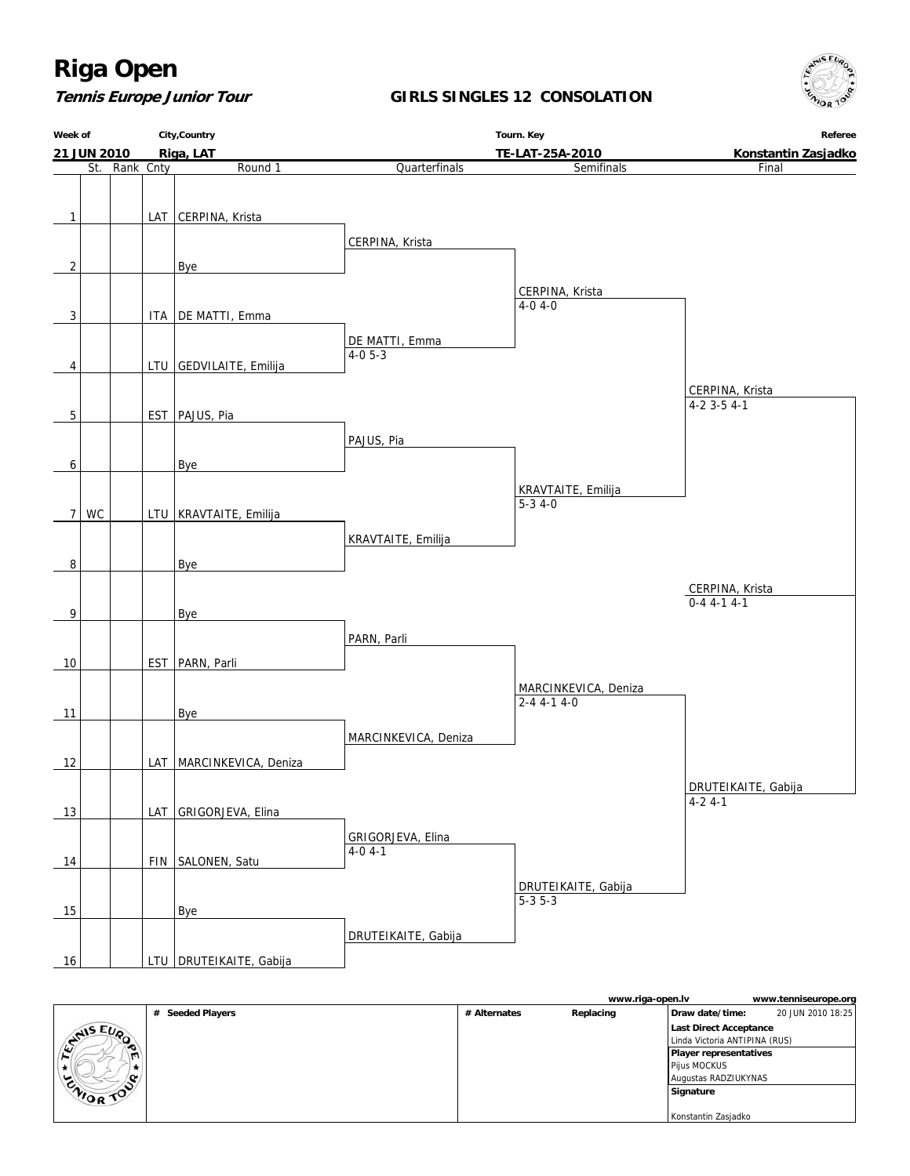### **Tennis Europe Junior Tour**

### **GIRLS SINGLES 12 CONSOLATION**





|                 |                  |              | www.riga-open.lv |                               | www.tenniseurope.org |
|-----------------|------------------|--------------|------------------|-------------------------------|----------------------|
|                 | # Seeded Players | # Alternates | Replacing        | Draw date/time:               | 20 JUN 2010 18:25    |
| <b>ANIS EUP</b> |                  |              |                  | Last Direct Acceptance        |                      |
|                 |                  |              |                  | Linda Victoria ANTIPINA (RUS) |                      |
| œ               |                  |              |                  | Player representatives        |                      |
|                 |                  |              |                  | Pijus MOCKUS                  |                      |
|                 |                  |              |                  | Augustas RADZIUKYNAS          |                      |
| ENIOR TOP       |                  |              |                  | Signature                     |                      |
|                 |                  |              |                  |                               |                      |
|                 |                  |              |                  | Konstantin Zasjadko           |                      |